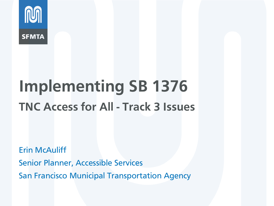

# **Implementing SB 1376 TNC Access for All - Track 3 Issues**

Erin McAuliff Senior Planner, Accessible Services San Francisco Municipal Transportation Agency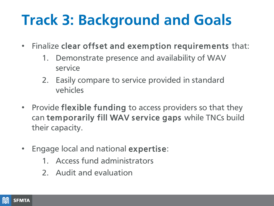## **Track 3: Background and Goals**

- Finalize clear offset and exemption requirements that:
	- 1. Demonstrate presence and availability of WAV service
	- 2. Easily compare to service provided in standard vehicles
- Provide flexible funding to access providers so that they can temporarily fill WAV service gaps while TNCs build their capacity.
- Engage local and national expertise:
	- 1. Access fund administrators
	- 2. Audit and evaluation

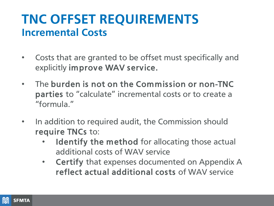#### **TNC OFFSET REQUIREMENTS Incremental Costs**

- Costs that are granted to be offset must specifically and explicitly improve WAV service.
- The burden is not on the Commission or non-TNC parties to "calculate" incremental costs or to create a "formula."
- In addition to required audit, the Commission should require TNCs to:
	- Identify the method for allocating those actual additional costs of WAV service
	- Certify that expenses documented on Appendix A reflect actual additional costs of WAV service

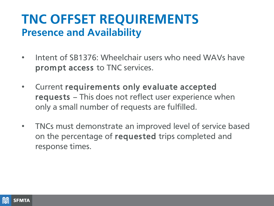#### **TNC OFFSET REQUIREMENTS Presence and Availability**

- Intent of SB1376: Wheelchair users who need WAVs have prompt access to TNC services.
- Current requirements only evaluate accepted requests – This does not reflect user experience when only a small number of requests are fulfilled.
- TNCs must demonstrate an improved level of service based on the percentage of requested trips completed and response times.

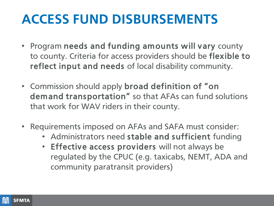#### **ACCESS FUND DISBURSEMENTS**

- Program needs and funding amounts will vary county to county. Criteria for access providers should be flexible to reflect input and needs of local disability community.
- Commission should apply broad definition of "on demand transportation" so that AFAs can fund solutions that work for WAV riders in their county.
- Requirements imposed on AFAs and SAFA must consider:
	- Administrators need stable and sufficient funding
	- Effective access providers will not always be regulated by the CPUC (e.g. taxicabs, NEMT, ADA and community paratransit providers)

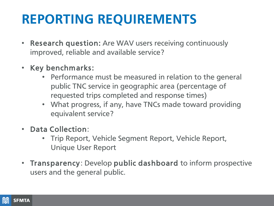### **REPORTING REQUIREMENTS**

- Research question: Are WAV users receiving continuously improved, reliable and available service?
- Key benchmarks:
	- Performance must be measured in relation to the general public TNC service in geographic area (percentage of requested trips completed and response times)
	- What progress, if any, have TNCs made toward providing equivalent service?
- Data Collection:
	- Trip Report, Vehicle Segment Report, Vehicle Report, Unique User Report
- Transparency: Develop public dashboard to inform prospective users and the general public.

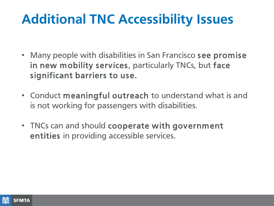#### **Additional TNC Accessibility Issues**

- Many people with disabilities in San Francisco see promise in new mobility services, particularly TNCs, but face significant barriers to use.
- Conduct meaningful outreach to understand what is and is not working for passengers with disabilities.
- TNCs can and should cooperate with government entities in providing accessible services.